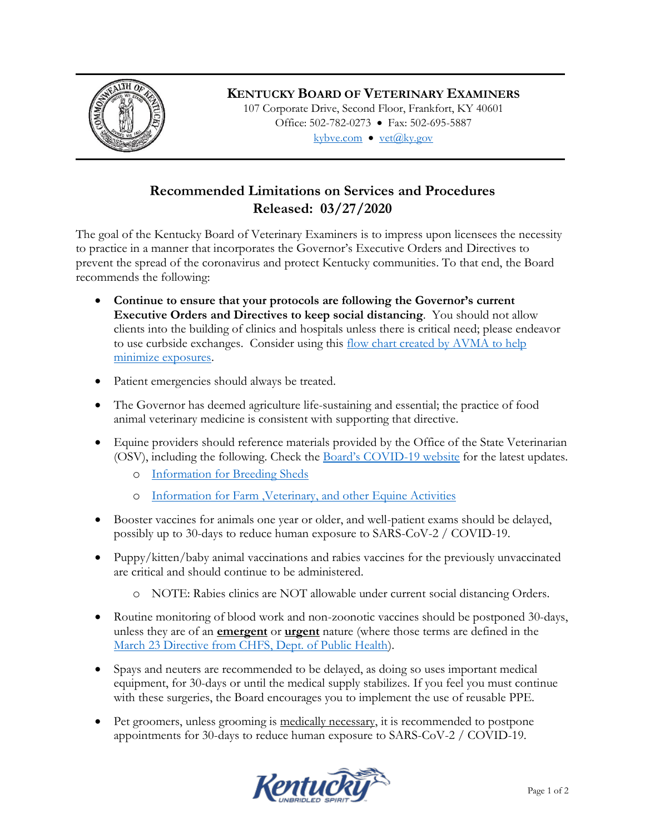

## **KENTUCKY BOARD OF VETERINARY EXAMINERS**

107 Corporate Drive, Second Floor, Frankfort, KY 40601 Office: 502-782-0273 • Fax: 502-695-5887 kybve.com  $\bullet$  vet $(\widehat{a}$ ky.gov

## **Recommended Limitations on Services and Procedures Released: 03/27/2020**

The goal of the Kentucky Board of Veterinary Examiners is to impress upon licensees the necessity to practice in a manner that incorporates the Governor's Executive Orders and Directives to prevent the spread of the coronavirus and protect Kentucky communities. To that end, the Board recommends the following:

- **Continue to ensure that your protocols are following the Governor's current Executive Orders and Directives to keep social distancing**. You should not allow clients into the building of clinics and hospitals unless there is critical need; please endeavor to use curbside exchanges. Consider using this flow chart created by AVMA to help [minimize exposures.](https://www.avma.org/sites/default/files/2020-03/COVID-19-MinimizeExposure-Flowchart-v2.pdf)
- Patient emergencies should always be treated.
- The Governor has deemed agriculture life-sustaining and essential; the practice of food animal veterinary medicine is consistent with supporting that directive.
- Equine providers should reference materials provided by the Office of the State Veterinarian (OSV), including the following. Check the **Board's COVID-19** website for the latest updates.
	- o [Information for Breeding Sheds](http://www.kybve.com/documents/COVID-19_OSV_Breeding-Sheds.pdf)
	- o [Information for Farm ,Veterinary, and other Equine Activities](http://www.kybve.com/documents/COVID-19_OSV_Farm-Veterinarians-Equine-Activities.pdf)
- Booster vaccines for animals one year or older, and well-patient exams should be delayed, possibly up to 30-days to reduce human exposure to SARS-CoV-2 / COVID-19.
- Puppy/kitten/baby animal vaccinations and rabies vaccines for the previously unvaccinated are critical and should continue to be administered.
	- o NOTE: Rabies clinics are NOT allowable under current social distancing Orders.
- Routine monitoring of blood work and non-zoonotic vaccines should be postponed 30-days, unless they are of an **emergent** or **urgent** nature (where those terms are defined in the [March 23 Directive from CHFS, Dept. of Public Health\)](https://governor.ky.gov/attachments/20200323_Directive_Elective-Procedures.pdf).
- Spays and neuters are recommended to be delayed, as doing so uses important medical equipment, for 30-days or until the medical supply stabilizes. If you feel you must continue with these surgeries, the Board encourages you to implement the use of reusable PPE.
- Pet groomers, unless grooming is medically necessary, it is recommended to postpone appointments for 30-days to reduce human exposure to SARS-CoV-2 / COVID-19.

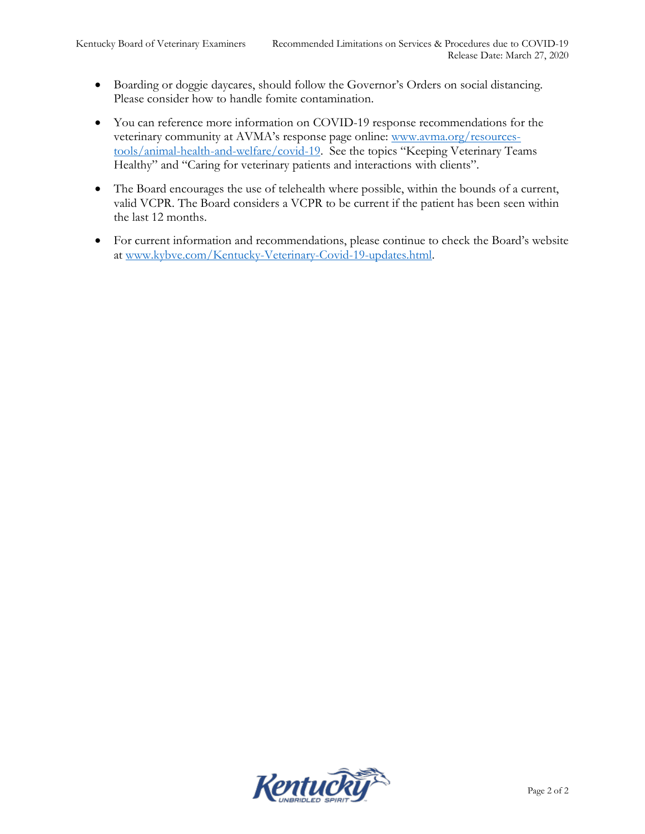- Boarding or doggie daycares, should follow the Governor's Orders on social distancing. Please consider how to handle fomite contamination.
- You can reference more information on COVID-19 response recommendations for the veterinary community at AVMA's response page online: [www.avma.org/resources](http://www.avma.org/resources-tools/animal-health-and-welfare/covid-19)[tools/animal-health-and-welfare/covid-19](http://www.avma.org/resources-tools/animal-health-and-welfare/covid-19). See the topics "Keeping Veterinary Teams Healthy" and "Caring for veterinary patients and interactions with clients".
- The Board encourages the use of telehealth where possible, within the bounds of a current, valid VCPR. The Board considers a VCPR to be current if the patient has been seen within the last 12 months.
- For current information and recommendations, please continue to check the Board's website at [www.kybve.com/Kentucky-Veterinary-Covid-19-updates.html.](http://www.kybve.com/Kentucky-Veterinary-Covid-19-updates.html)